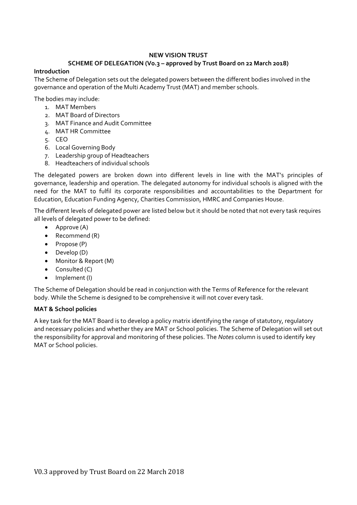## **NEW VISION TRUST**

## **SCHEME OF DELEGATION (V0.3 – approved by Trust Board on 22 March 2018)**

## **Introduction**

The Scheme of Delegation sets out the delegated powers between the different bodies involved in the governance and operation of the Multi Academy Trust (MAT) and member schools.

The bodies may include:

- 1. MAT Members
- 2. MAT Board of Directors
- 3. MAT Finance and Audit Committee
- 4. MAT HR Committee
- 5. CEO
- 6. Local Governing Body
- 7. Leadership group of Headteachers
- 8. Headteachers of individual schools

The delegated powers are broken down into different levels in line with the MAT's principles of governance, leadership and operation. The delegated autonomy for individual schools is aligned with the need for the MAT to fulfil its corporate responsibilities and accountabilities to the Department for Education, Education Funding Agency, Charities Commission, HMRC and Companies House.

The different levels of delegated power are listed below but it should be noted that not every task requires all levels of delegated power to be defined:

- Approve (A)
- Recommend (R)
- $\bullet$  Propose (P)
- Develop (D)
- Monitor & Report (M)
- $\bullet$  Consulted  $(C)$
- Implement (I)

The Scheme of Delegation should be read in conjunction with the Terms of Reference for the relevant body. While the Scheme is designed to be comprehensive it will not cover every task.

## **MAT & School policies**

A key task for the MAT Board is to develop a policy matrix identifying the range of statutory, regulatory and necessary policies and whether they are MAT or School policies. The Scheme of Delegation will set out the responsibility for approval and monitoring of these policies. The *Notes* column is used to identify key MAT or School policies.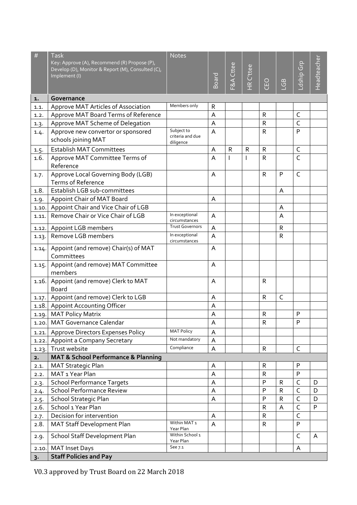| $\#$  | <b>Task</b>                                                                                       | <b>Notes</b>                    |                    |                      |                |              |              |              |             |
|-------|---------------------------------------------------------------------------------------------------|---------------------------------|--------------------|----------------------|----------------|--------------|--------------|--------------|-------------|
|       | Key: Approve (A), Recommend (R) Propose (P),<br>Develop (D), Monitor & Report (M), Consulted (C), |                                 |                    | <b>E&amp;A</b> Cttee |                |              |              | Ldship Grp   | Headteacher |
|       | Implement (I)                                                                                     |                                 | Board <sup>1</sup> |                      | HR C'ttee      |              |              |              |             |
|       |                                                                                                   |                                 |                    |                      |                | CEO          | $\mathbb{G}$ |              |             |
| 1.    | Governance                                                                                        |                                 |                    |                      |                |              |              |              |             |
| 1.1.  | Approve MAT Articles of Association                                                               | Members only                    | R                  |                      |                |              |              |              |             |
| 1.2.  | Approve MAT Board Terms of Reference                                                              |                                 | А                  |                      |                | $\mathsf{R}$ |              | $\mathsf C$  |             |
| 1.3.  | Approve MAT Scheme of Delegation                                                                  |                                 | A                  |                      |                | $\mathsf{R}$ |              | $\mathsf{C}$ |             |
| 1.4.  | Approve new convertor or sponsored                                                                | Subject to                      | $\overline{A}$     |                      |                | $\mathsf{R}$ |              | P            |             |
|       | schools joining MAT                                                                               | criteria and due<br>diligence   |                    |                      |                |              |              |              |             |
| 1.5.  | <b>Establish MAT Committees</b>                                                                   |                                 | A                  | $\mathsf{R}$         | $\mathsf R$    | $\mathsf{R}$ |              | $\mathsf C$  |             |
| 1.6.  | Approve MAT Committee Terms of                                                                    |                                 | $\overline{A}$     | $\mathbf{I}$         | $\overline{1}$ | $\mathsf{R}$ |              | C            |             |
|       | Reference                                                                                         |                                 |                    |                      |                |              |              |              |             |
| 1.7.  | Approve Local Governing Body (LGB)                                                                |                                 | A                  |                      |                | $\mathsf R$  | P            | C            |             |
|       | <b>Terms of Reference</b>                                                                         |                                 |                    |                      |                |              |              |              |             |
| 1.8.  | Establish LGB sub-committees                                                                      |                                 |                    |                      |                |              | A            |              |             |
| 1.9.  | Appoint Chair of MAT Board                                                                        |                                 | A                  |                      |                |              |              |              |             |
| 1.10. | Appoint Chair and Vice Chair of LGB                                                               |                                 |                    |                      |                |              | A            |              |             |
| 1.11. | Remove Chair or Vice Chair of LGB                                                                 | In exceptional<br>circumstances | A                  |                      |                |              | A            |              |             |
| 1.12. | Appoint LGB members                                                                               | <b>Trust Governors</b>          | A                  |                      |                |              | $\mathsf{R}$ |              |             |
| 1.13. | Remove LGB members                                                                                | In exceptional<br>circumstances | A                  |                      |                |              | $\mathsf R$  |              |             |
| 1.14. | Appoint (and remove) Chair(s) of MAT                                                              |                                 | A                  |                      |                |              |              |              |             |
|       | Committees                                                                                        |                                 |                    |                      |                |              |              |              |             |
| 1.15. | Appoint (and remove) MAT Committee<br>members                                                     |                                 | A                  |                      |                |              |              |              |             |
| 1.16. | Appoint (and remove) Clerk to MAT                                                                 |                                 | A                  |                      |                | $\mathsf{R}$ |              |              |             |
|       | <b>Board</b>                                                                                      |                                 |                    |                      |                |              |              |              |             |
| 1.17. | Appoint (and remove) Clerk to LGB                                                                 |                                 | A                  |                      |                | R            | $\mathsf{C}$ |              |             |
| 1.18. | <b>Appoint Accounting Officer</b>                                                                 |                                 | A                  |                      |                |              |              |              |             |
| 1.19. | <b>MAT Policy Matrix</b>                                                                          |                                 | A                  |                      |                | $\mathsf{R}$ |              | P            |             |
| 1.20. | <b>MAT Governance Calendar</b>                                                                    |                                 | A                  |                      |                | R            |              | P            |             |
| 1.21. | Approve Directors Expenses Policy                                                                 | <b>MAT Policy</b>               | A                  |                      |                |              |              |              |             |
| 1.22. | Appoint a Company Secretary                                                                       | Not mandatory                   | A                  |                      |                |              |              |              |             |
| 1.23. | Trust website                                                                                     | Compliance                      | A                  |                      |                | ${\sf R}$    |              | $\mathsf{C}$ |             |
| 2.    | <b>MAT &amp; School Performance &amp; Planning</b>                                                |                                 |                    |                      |                |              |              |              |             |
| 2.1.  | <b>MAT Strategic Plan</b>                                                                         |                                 | A                  |                      |                | R            |              | P            |             |
| 2.2.  | MAT <sub>1</sub> Year Plan                                                                        |                                 | A                  |                      |                | $\mathsf{R}$ |              | P            |             |
| 2.3.  | <b>School Performance Targets</b>                                                                 |                                 | A                  |                      |                | P            | $\mathsf{R}$ | C            | D           |
| 2.4.  | <b>School Performance Review</b>                                                                  |                                 | A                  |                      |                | P            | $\mathsf{R}$ | C            | D           |
| 2.5.  | School Strategic Plan                                                                             |                                 | A                  |                      |                | P            | $\mathsf{R}$ | $\mathsf{C}$ | D           |
| 2.6.  | School 1 Year Plan                                                                                |                                 |                    |                      |                | R            | A            | $\mathsf{C}$ | P           |
| 2.7.  | Decision for intervention                                                                         | Within MAT <sub>1</sub>         | A                  |                      |                | $\mathsf R$  |              | C            |             |
| 2.8.  | MAT Staff Development Plan                                                                        | Year Plan                       | A                  |                      |                | $\mathsf{R}$ |              | P            |             |
| 2.9.  | School Staff Development Plan                                                                     | Within School 1<br>Year Plan    |                    |                      |                |              |              | $\mathsf{C}$ | A           |
| 2.10. | <b>MAT Inset Days</b>                                                                             | See 7.1                         |                    |                      |                |              |              | A            |             |
| 3.    | <b>Staff Policies and Pay</b>                                                                     |                                 |                    |                      |                |              |              |              |             |

V0.3 approved by Trust Board on 22 March 2018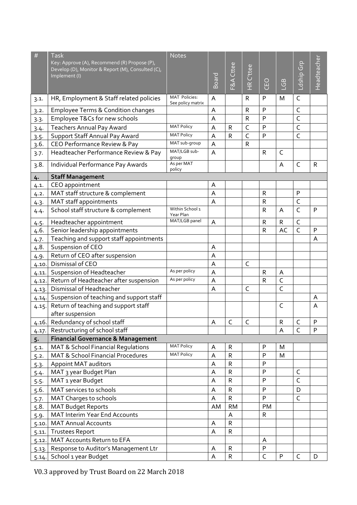| $\#$  | <b>Task</b>                                                                                       | <b>Notes</b>                              |                    |              |                      |                |                |                |             |
|-------|---------------------------------------------------------------------------------------------------|-------------------------------------------|--------------------|--------------|----------------------|----------------|----------------|----------------|-------------|
|       | Key: Approve (A), Recommend (R) Propose (P),<br>Develop (D), Monitor & Report (M), Consulted (C), |                                           |                    | Cttee        |                      |                |                |                |             |
|       | Implement (I)                                                                                     |                                           |                    |              | C'ttee               |                |                |                |             |
|       |                                                                                                   |                                           | Board <sup>1</sup> | $F\&A$       | $\frac{\alpha}{\pm}$ | CEO            | $\mathbb{G}$   | Ldship Grp     | Headteacher |
| 3.1.  | HR, Employment & Staff related policies                                                           | <b>MAT Policies:</b><br>See policy matrix | A                  |              | R                    | P              | M              | $\mathsf{C}$   |             |
| 3.2.  | <b>Employee Terms &amp; Condition changes</b>                                                     |                                           | A                  |              | ${\sf R}$            | P              |                | $\mathsf{C}$   |             |
| 3.3.  | Employee T&Cs for new schools                                                                     |                                           | A                  |              | $\mathsf R$          | P              |                | $\mathsf{C}$   |             |
| 3.4.  | <b>Teachers Annual Pay Award</b>                                                                  | <b>MAT Policy</b>                         | A                  | $\mathsf{R}$ | $\mathsf{C}$         | P              |                | $\mathsf C$    |             |
| 3.5.  | Support Staff Annual Pay Award                                                                    | <b>MAT Policy</b>                         | $\overline{A}$     | $\mathsf{R}$ | $\overline{C}$       | P              |                | $\mathsf{C}$   |             |
| 3.6.  | CEO Performance Review & Pay                                                                      | MAT sub-group                             | A                  |              | $\mathsf R$          |                |                |                |             |
| 3.7.  | Headteacher Performance Review & Pay                                                              | MAT/LGB sub-<br>group                     | A                  |              |                      | $\mathsf{R}$   | $\mathsf{C}$   |                |             |
| 3.8.  | Individual Performance Pay Awards                                                                 | As per MAT<br>policy                      |                    |              |                      |                | A              | $\mathsf{C}$   | R           |
| 4.    | <b>Staff Management</b>                                                                           |                                           |                    |              |                      |                |                |                |             |
| 4.1.  | CEO appointment                                                                                   |                                           | Α                  |              |                      |                |                |                |             |
| 4.2.  | MAT staff structure & complement                                                                  |                                           | A                  |              |                      | $\mathsf{R}$   |                | P              |             |
| 4.3.  | MAT staff appointments                                                                            |                                           | A                  |              |                      | $\mathsf R$    |                | $\mathsf C$    |             |
| 4.4.  | School staff structure & complement                                                               | Within School 1<br>Year Plan              |                    |              |                      | R              | A              | $\mathsf{C}$   | P           |
| 4.5.  | Headteacher appointment                                                                           | MAT/LGB panel                             | A                  |              |                      | $\mathsf{R}$   | $\mathsf{R}$   | $\overline{C}$ |             |
| 4.6.  | Senior leadership appointments                                                                    |                                           |                    |              |                      | $\mathsf R$    | AC             | $\mathsf{C}$   | P           |
| 4.7.  | Teaching and support staff appointments                                                           |                                           |                    |              |                      |                |                |                | A           |
| 4.8.  | Suspension of CEO                                                                                 |                                           | A                  |              |                      |                |                |                |             |
| 4.9.  | Return of CEO after suspension                                                                    |                                           | A                  |              |                      |                |                |                |             |
| 4.10  | Dismissal of CEO                                                                                  |                                           | A                  |              | C                    |                |                |                |             |
| 4.11. | Suspension of Headteacher                                                                         | As per policy                             | A                  |              |                      | $\mathsf{R}$   | A              |                |             |
| 4.12. | Return of Headteacher after suspension                                                            | As per policy                             | A                  |              |                      | $\mathsf{R}$   | $\mathsf{C}$   |                |             |
| 4.13. | Dismissal of Headteacher                                                                          |                                           | A                  |              | $\mathsf{C}$         |                | $\overline{C}$ |                |             |
| 4.14. | Suspension of teaching and support staff                                                          |                                           |                    |              |                      |                |                |                | A           |
| 4.15. | Return of teaching and support staff                                                              |                                           |                    |              |                      |                | $\mathsf{C}$   |                | A           |
|       | after suspension                                                                                  |                                           |                    |              |                      |                |                |                |             |
| 4.16. | Redundancy of school staff                                                                        |                                           | A                  | C            | $\mathsf C$          |                | ${\sf R}$      | C              | $\sf P$     |
| 4.17. | Restructuring of school staff                                                                     |                                           |                    |              |                      |                | A              | $\overline{C}$ | P           |
| $5 -$ | <b>Financial Governance &amp; Management</b>                                                      |                                           |                    |              |                      |                |                |                |             |
| 5.1.  | MAT & School Financial Regulations                                                                | <b>MAT Policy</b>                         | A                  | $\mathsf{R}$ |                      | P              | M              |                |             |
| 5.2.  | <b>MAT &amp; School Financial Procedures</b>                                                      | <b>MAT Policy</b>                         | A                  | $\mathsf{R}$ |                      | P              | M              |                |             |
| 5.3.  | <b>Appoint MAT auditors</b>                                                                       |                                           | Α                  | R            |                      | P              |                |                |             |
| 5.4.  | MAT 3 year Budget Plan                                                                            |                                           | A                  | $\mathsf{R}$ |                      | P              |                | C              |             |
| 5.5.  | MAT 1 year Budget                                                                                 |                                           | A                  | $\mathsf{R}$ |                      | P              |                | $\mathsf{C}$   |             |
| 5.6.  | MAT services to schools                                                                           |                                           | Α                  | $\mathsf R$  |                      | P              |                | D              |             |
| 5.7.  | MAT Charges to schools                                                                            |                                           | A                  | $\mathsf{R}$ |                      | P              |                | $\mathsf{C}$   |             |
| 5.8.  | <b>MAT Budget Reports</b>                                                                         |                                           | AM                 | <b>RM</b>    |                      | PM             |                |                |             |
| 5.9.  | <b>MAT Interim Year End Accounts</b>                                                              |                                           |                    | A            |                      | $\mathsf R$    |                |                |             |
| 5.10. | <b>MAT Annual Accounts</b>                                                                        |                                           | A                  | ${\sf R}$    |                      |                |                |                |             |
| 5.11. | <b>Trustees Report</b>                                                                            |                                           | A                  | ${\sf R}$    |                      |                |                |                |             |
| 5.12. | MAT Accounts Return to EFA                                                                        |                                           |                    |              |                      | A              |                |                |             |
| 5.13. | Response to Auditor's Management Ltr                                                              |                                           | A                  | $\mathsf{R}$ |                      | P              |                |                |             |
| 5.14. | School 1 year Budget                                                                              |                                           | A                  | ${\sf R}$    |                      | $\overline{C}$ | P              | $\mathsf C$    | D           |

V0.3 approved by Trust Board on 22 March 2018